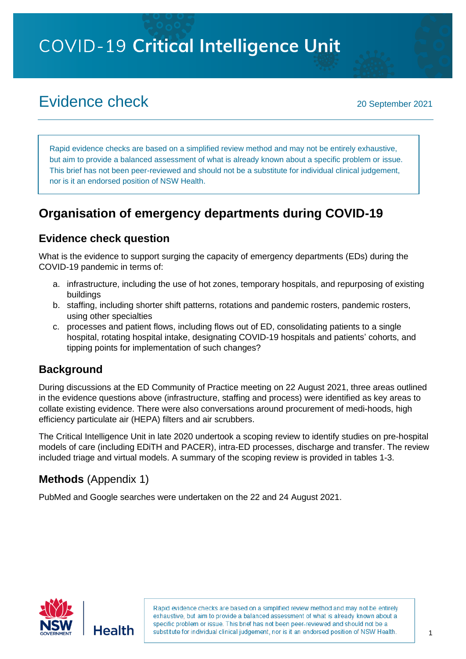**COVID-19 Critical Intelligence Unit** 

# Evidence check <sup>20</sup> September <sup>2021</sup>

Rapid evidence checks are based on a simplified review method and may not be entirely exhaustive, but aim to provide a balanced assessment of what is already known about a specific problem or issue. This brief has not been peer-reviewed and should not be a substitute for individual clinical judgement, nor is it an endorsed position of NSW Health.

## **Organisation of emergency departments during COVID-19**

## **Evidence check question**

What is the evidence to support surging the capacity of emergency departments (EDs) during the COVID-19 pandemic in terms of:

- a. infrastructure, including the use of hot zones, temporary hospitals, and repurposing of existing buildings
- b. staffing, including shorter shift patterns, rotations and [pandem](https://onlinelibrary.wiley.com/doi/10.1111/1742-6723.13732)ic rosters, pandemic rosters, using other specialties
- c. processes and patient flows, including flows out of ED, consolidating patients to a single hospital, rotating hospital intake, designating COVID-19 hospitals and patients' cohorts, and tipping points for implementation of such changes?

## **Background**

During discussions at the ED Community of Practice meeting on 22 August 2021, three areas outlined in the evidence questions above (infrastructure, staffing and process) were identified as key areas to collate existing evidence. There were also conversations around procurement of medi-hoods, high efficiency particulate air (HEPA) filters and air scrubbers.

The Critical Intelligence Unit in late 2020 undertook a scoping review to identify studies on pre-hospital models of care (including EDiTH and PACER), intra-ED processes, discharge and transfer. The review included triage and virtual models. A summary of the scoping review is provided in tables 1-3.

## **Methods** (Appendix 1)

PubMed and Google searches were undertaken on the 22 and 24 August 2021.

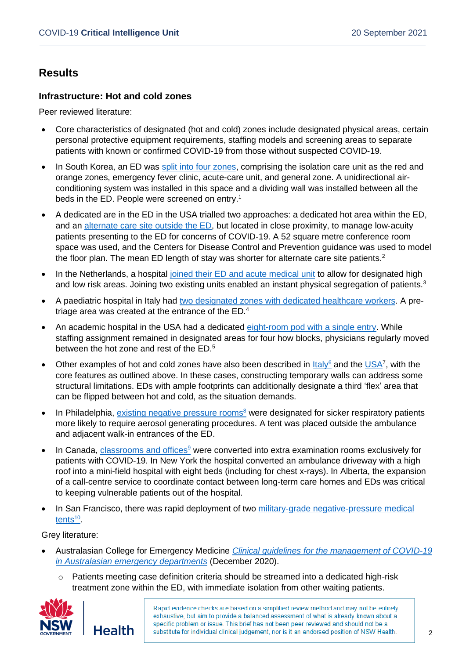## **Results**

#### **Infrastructure: Hot and cold zones**

Peer reviewed literature:

- Core characteristics of designated (hot and cold) zones include designated physical areas, certain personal protective equipment requirements, staffing models and screening areas to separate patients with known or confirmed COVID-19 from those without suspected COVID-19.
- In South Korea, an ED was [split into four zones,](https://journals.plos.org/plosone/article?id=10.1371/journal.pone.0256116) comprising the isolation care unit as the red and orange zones, emergency fever clinic, acute-care unit, and general zone. A unidirectional airconditioning system was installed in this space and a dividing wall was installed between all the beds in the ED. People were screened on entry.<sup>1</sup>
- A dedicated are in the ED in the USA trialled two approaches: a dedicated hot area within the ED, and an [alternate care site outside the ED,](https://onlinelibrary.wiley.com/doi/full/10.1002/emp2.12288) but located in close proximity, to manage low‐acuity patients presenting to the ED for concerns of COVID‐19. A 52 square metre conference room space was used, and the Centers for Disease Control and Prevention guidance was used to model the floor plan. The mean ED length of stay was shorter for alternate care site patients.<sup>2</sup>
- In the Netherlands, a hospital [joined their ED and acute medical unit](https://www.cambridge.org/core/journals/disaster-medicine-and-public-health-preparedness/article/swift-and-dynamic-strategy-to-expand-emergency-department-capacity-for-covid19/F3ADA490A25476B675B6D17F89C84901) to allow for designated high and low risk areas. Joining two existing units enabled an instant physical segregation of patients.<sup>3</sup>
- A paediatric hospital in Italy had [two designated zones with dedicated healthcare workers.](https://www.frontiersin.org/articles/10.3389/fped.2020.594831/full) A pretriage area was created at the entrance of the ED.<sup>4</sup>
- An academic hospital in the USA had a dedicated [eight-room pod with a single entry.](https://pubmed.ncbi.nlm.nih.gov/33965895/) While staffing assignment remained in designated areas for four how blocks, physicians regularly moved between the hot zone and rest of the ED.<sup>5</sup>
- Other examples of hot and cold zones have also been described in  $\underline{\text{lt}aIy^6}$  and the  $\underline{\text{USA}}^7$ , with the core features as outlined above. In these cases, constructing temporary walls can address some structural limitations. EDs with ample footprints can additionally designate a third 'flex' area that can be flipped between hot and cold, as the situation demands.
- In Philadelphia, [existing negative pressure rooms](https://www.sciencedirect.com/science/article/abs/pii/S0736467920307046?via%3Dihub)<sup>8</sup> were designated for sicker respiratory patients more likely to require aerosol generating procedures. A tent was placed outside the ambulance and adjacent walk-in entrances of the ED.
- In Canada, [classrooms and offices](https://www.cmaj.ca/content/192/27/E789)<sup>9</sup> were converted into extra examination rooms exclusively for patients with COVID-19. In New York the hospital converted an ambulance driveway with a high roof into a mini-field hospital with eight beds (including for chest x-rays). In Alberta, the expansion of a call-centre service to coordinate contact between long-term care homes and EDs was critical to keeping vulnerable patients out of the hospital.
- In San Francisco, there was rapid deployment of two military-grade negative-pressure medical [tents](https://emj.bmj.com/content/37/7/402)<sup>10</sup>.

Grey literature:

- Australasian College for Emergency Medicine *[Clinical guidelines for the management of COVID-19](https://acem.org.au/getmedia/78105c4b-5195-43f6-9c91-25dda5604eaf/Clinical-Guidelines)  [in Australasian emergency departments](https://acem.org.au/getmedia/78105c4b-5195-43f6-9c91-25dda5604eaf/Clinical-Guidelines)* (December 2020).
	- Patients meeting case definition criteria should be streamed into a dedicated high-risk treatment zone within the ED, with immediate isolation from other waiting patients.

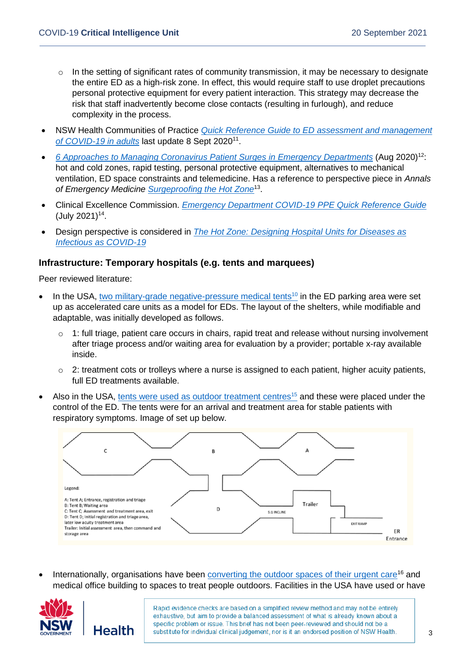- $\circ$  In the setting of significant rates of community transmission, it may be necessary to designate the entire ED as a high-risk zone. In effect, this would require staff to use droplet precautions personal protective equipment for every patient interaction. This strategy may decrease the risk that staff inadvertently become close contacts (resulting in furlough), and reduce complexity in the process.
- NSW Health Communities of Practice *[Quick Reference Guide to ED assessment and management](https://www.health.nsw.gov.au/Infectious/covid-19/communities-of-practice/Documents/guide-ed-assessment-management.pdf)*  [of COVID-19 in adults](https://www.health.nsw.gov.au/Infectious/covid-19/communities-of-practice/Documents/guide-ed-assessment-management.pdf) last update 8 Sept 2020<sup>11</sup>.
- *6 Approaches to Managing Coronavirus [Patient Surges in Emergency Departments](https://www.healthleadersmedia.com/clinical-care/6-approaches-managing-coronavirus-patient-surges-emergency-departments)* (Aug 2020)<sup>12</sup>: hot and cold zones, rapid testing, personal protective equipment, alternatives to mechanical ventilation, ED space constraints and telemedicine. Has a reference to perspective piece in *Annals of Emergency Medicine [Surgeproofing the Hot Zone](https://www.annemergmed.com/article/S0196-0644(20)30600-4/fulltext#relatedArticles)*<sup>13</sup> .
- Clinical Excellence Commission. *[Emergency Department COVID-19 PPE Quick Reference Guide](https://www.cec.health.nsw.gov.au/__data/assets/pdf_file/0007/579760/PPE-Quick-Reference-Guide.pdf)*  $($  July 2021)<sup>14</sup>.
- Design perspective is considered in *[The Hot Zone: Designing Hospital Units for Diseases as](https://www.hksinc.com/our-news/articles/the-hot-zone-designing-hospital-units-for-diseases-as-infectious-as-covid-19/)  [Infectious as COVID-19](https://www.hksinc.com/our-news/articles/the-hot-zone-designing-hospital-units-for-diseases-as-infectious-as-covid-19/)*

#### **Infrastructure: Temporary hospitals (e.g. tents and marquees)**

Peer reviewed literature:

- In the USA, two [military-grade negative-pressure medical tents](https://emj.bmj.com/content/37/7/402)<sup>10</sup> in the ED parking area were set up as accelerated care units as a model for EDs. The layout of the shelters, while modifiable and adaptable, was initially developed as follows.
	- $\circ$  1: full triage, patient care occurs in chairs, rapid treat and release without nursing involvement after triage process and/or waiting area for evaluation by a provider; portable x-ray available inside.
	- $\circ$  2: treatment cots or trolleys where a nurse is assigned to each patient, higher acuity patients, full ED treatments available.
- Also in the USA, [tents were used as outdoor treatment centres](https://www.ncbi.nlm.nih.gov/pmc/articles/PMC7711347/)<sup>15</sup> and these were placed under the control of the ED. The tents were for an arrival and treatment area for stable patients with respiratory symptoms. Image of set up below.



Internationally, organisations have been [converting the outdoor spaces of their urgent care](https://journals.sagepub.com/doi/full/10.1177/1937586720949792)<sup>16</sup> and medical office building to spaces to treat people outdoors. Facilities in the USA have used or have

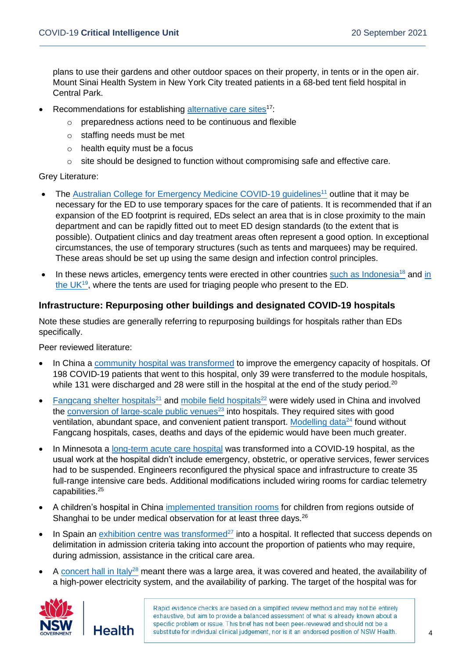plans to use their gardens and other outdoor spaces on their property, in tents or in the open air. Mount Sinai Health System in New York City treated patients in a 68-bed tent field hospital in Central Park.

- Recommendations for establishing [alternative care sites](https://pubmed.ncbi.nlm.nih.gov/34296671/)<sup>17:</sup>
	- o preparedness actions need to be continuous and flexible
	- o staffing needs must be met
	- o health equity must be a focus
	- $\circ$  site should be designed to function without compromising safe and effective care.

Grey Literature:

- The [Australian College for Emergency Medicine COVID-19 guidelines](https://acem.org.au/getmedia/78105c4b-5195-43f6-9c91-25dda5604eaf/Clinical-Guidelines-for-the-management-of-COVID-19-in-Australasian-emergency-departments)<sup>11</sup> outline that it may be necessary for the ED to use temporary spaces for the care of patients. It is recommended that if an expansion of the ED footprint is required, EDs select an area that is in close proximity to the main department and can be rapidly fitted out to meet ED design standards (to the extent that is possible). Outpatient clinics and day treatment areas often represent a good option. In exceptional circumstances, the use of temporary structures (such as tents and marquees) may be required. These areas should be set up using the same design and infection control principles.
- In these news articles, emergency tents were erected in other countries [such as Indonesia](https://www.reuters.com/world/asia-pacific/indonesia-has-enough-oxygen-covid-19-patients-health-minister-2021-06-25/)<sup>18</sup> and in [the UK](https://www.uhs.nhs.uk/AboutTheTrust/Newsandpublications/Latestnews/2020/April/Hospital-trust-transforms-emergency-department-as-part-of-COVID-19-response.aspx)<sup>19</sup>, where the tents are used for triaging people who present to the ED.

#### **Infrastructure: Repurposing other buildings and designated COVID-19 hospitals**

Note these studies are generally referring to repurposing buildings for hospitals rather than EDs specifically.

Peer reviewed literature:

- In China a [community hospital was transformed](https://www.minervamedica.it/en/journals/panminerva-medica/article.php?cod=R41Y9999N00A20041403) to improve the emergency capacity of hospitals. Of 198 COVID-19 patients that went to this hospital, only 39 were transferred to the module hospitals, while 131 were discharged and 28 were still in the hospital at the end of the study period.<sup>20</sup>
- [Fangcang shelter hospitals](https://pubmed.ncbi.nlm.nih.gov/32546589/)<sup>21</sup> and [mobile field hospitals](https://pubmed.ncbi.nlm.nih.gov/32238673/)<sup>22</sup> were widely used in China and involved the [conversion of large-scale public venues](https://pubmed.ncbi.nlm.nih.gov/32838157/) $^{23}$  into hospitals. They required sites with good ventilation, abundant space, and convenient patient transport. [Modelling data](https://pubmed.ncbi.nlm.nih.gov/33293743/)<sup>24</sup> found without Fangcang hospitals, cases, deaths and days of the epidemic would have been much greater.
- In Minnesota a [long-term acute care hospital](https://pubmed.ncbi.nlm.nih.gov/32697625/) was transformed into a COVID-19 hospital, as the usual work at the hospital didn't include emergency, obstetric, or operative services, fewer services had to be suspended. Engineers reconfigured the physical space and infrastructure to create 35 full-range intensive care beds. Additional modifications included wiring rooms for cardiac telemetry capabilities. 25
- A children's hospital in China [implemented transition rooms](https://www.ncbi.nlm.nih.gov/pmc/articles/PMC7561227/) for children from regions outside of Shanghai to be under medical observation for at least three days. $^{26}$
- In Spain an [exhibition centre was transformed](https://pubmed.ncbi.nlm.nih.gov/33752321/)<sup>27</sup> into a hospital. It reflected that success depends on delimitation in admission criteria taking into account the proportion of patients who may require, during admission, assistance in the critical care area.
- A [concert hall in Italy](https://www.cambridge.org/core/journals/disaster-medicine-and-public-health-preparedness/article/covid19-surge-capacity-solutions-our-experience-of-converting-a-concert-hall-into-a-temporary-hospital-for-mild-and-moderate-covid19-patients/12C2A072A28F5B419F34A83734C28D43)<sup>28</sup> meant there was a large area, it was covered and heated, the availability of a high-power electricity system, and the availability of parking. The target of the hospital was for

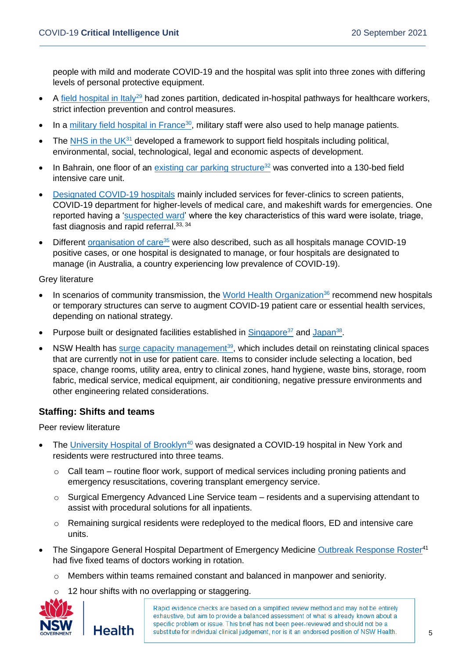people with mild and moderate COVID-19 and the hospital was split into three zones with differing levels of personal protective equipment.

- A [field hospital in Italy](https://pubmed.ncbi.nlm.nih.gov/33208198/)<sup>29</sup> had zones partition, dedicated in-hospital pathways for healthcare workers, strict infection prevention and control measures.
- In a [military field hospital in France](https://pubmed.ncbi.nlm.nih.gov/34195840/)<sup>30</sup>, military staff were also used to help manage patients.
- The NHS in the  $UK<sup>31</sup>$  developed a framework to support field hospitals including political, environmental, social, technological, legal and economic aspects of development.
- In Bahrain, one floor of an [existing car parking structure](https://pubmed.ncbi.nlm.nih.gov/32782041/)<sup>32</sup> was converted into a 130-bed field intensive care unit.
- [Designated COVID-19 hospitals](https://pubmed.ncbi.nlm.nih.gov/33993856/) mainly included services for fever-clinics to screen patients, COVID-19 department for higher-levels of medical care, and makeshift wards for emergencies. One reported having a ['suspected ward'](https://pubmed.ncbi.nlm.nih.gov/33126309/) where the key characteristics of this ward were isolate, triage, fast diagnosis and rapid referral.  $33, 34$
- Different [organisation of care](https://pubmed.ncbi.nlm.nih.gov/32854819/)<sup>35</sup> were also described, such as all hospitals manage COVID-19 positive cases, or one hospital is designated to manage, or four hospitals are designated to manage (in Australia, a country experiencing low prevalence of COVID-19).

#### Grey literature

- In scenarios of community transmission, the [World Health Organization](https://apps.who.int/iris/bitstream/handle/10665/331492/WHO-2019-nCoV-HCF_operations-2020.1-eng.pdf)<sup>36</sup> recommend new hospitals or temporary structures can serve to augment COVID-19 patient care or essential health services, depending on national strategy.
- Purpose built or designated facilities established in  $Singapore<sup>37</sup>$  and  $Japan<sup>38</sup>$ .
- NSW Health has [surge capacity management](https://www.health.nsw.gov.au/Infectious/covid-19/communities-of-practice/Pages/surge-management.aspx)<sup>39</sup>, which includes detail on reinstating clinical spaces that are currently not in use for patient care. Items to consider include selecting a location, bed space, change rooms, utility area, entry to clinical zones, hand hygiene, waste bins, storage, room fabric, medical service, medical equipment, air conditioning, negative pressure environments and other engineering related considerations.

#### **Staffing: Shifts and teams**

Peer review literature

- The [University Hospital of Brooklyn](https://pubmed.ncbi.nlm.nih.gov/32778399/)<sup>40</sup> was designated a COVID-19 hospital in New York and residents were restructured into three teams.
	- o Call team routine floor work, support of medical services including proning patients and emergency resuscitations, covering transplant emergency service.
	- o Surgical Emergency Advanced Line Service team residents and a supervising attendant to assist with procedural solutions for all inpatients.
	- o Remaining surgical residents were redeployed to the medical floors, ED and intensive care units.
- The Singapore General Hospital Department of Emergency Medicine [Outbreak Response Roster](https://pubmed.ncbi.nlm.nih.gov/32467156/)<sup>41</sup> had five fixed teams of doctors working in rotation.
	- $\circ$  Members within teams remained constant and balanced in manpower and seniority.
		- 12 hour shifts with no overlapping or staggering.

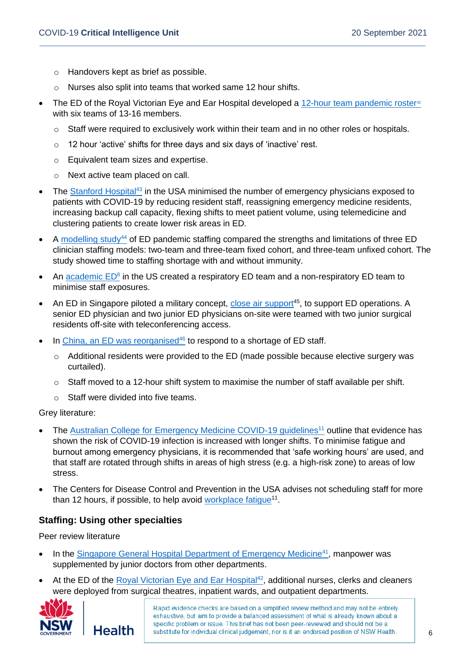- o Handovers kept as brief as possible.
- o Nurses also split into teams that worked same 12 hour shifts.
- The ED of the Royal Victorian Eye and Ear Hospital developed a  $12$ -hour team pandemic roster<sup>42</sup> with six teams of 13-16 members.
	- $\circ$  Staff were required to exclusively work within their team and in no other roles or hospitals.
	- o 12 hour 'active' shifts for three days and six days of 'inactive' rest.
	- o Equivalent team sizes and expertise.
	- o Next active team placed on call.
- The [Stanford Hospital](https://pubmed.ncbi.nlm.nih.gov/33615307/)<sup>43</sup> in the USA minimised the number of emergency physicians exposed to patients with COVID-19 by reducing resident staff, reassigning emergency medicine residents, increasing backup call capacity, flexing shifts to meet patient volume, using telemedicine and clustering patients to create lower risk areas in ED.
- A [modelling study](https://pubmed.ncbi.nlm.nih.gov/34392521/)<sup>44</sup> of ED pandemic staffing compared the strengths and limitations of three ED clinician staffing models: two-team and three-team fixed cohort, and three-team unfixed cohort. The study showed time to staffing shortage with and without immunity.
- An [academic ED](https://www.ncbi.nlm.nih.gov/pmc/articles/PMC7346777/)<sup>8</sup> in the US created a respiratory ED team and a non-respiratory ED team to minimise staff exposures.
- An ED in Singapore piloted a military concept, [close air support](https://emj.bmj.com/content/37/10/642.long)<sup>45</sup>, to support ED operations. A senior ED physician and two junior ED physicians on-site were teamed with two junior surgical residents off-site with teleconferencing access.
- In [China, an ED was reorganised](https://intjem.biomedcentral.com/articles/10.1186/s12245-020-00294-w)<sup>46</sup> to respond to a shortage of ED staff.
	- $\circ$  Additional residents were provided to the ED (made possible because elective surgery was curtailed).
	- $\circ$  Staff moved to a 12-hour shift system to maximise the number of staff available per shift.
	- o Staff were divided into five teams.

Grey literature:

- The [Australian College for Emergency Medicine COVID-19 guidelines](https://acem.org.au/getmedia/78105c4b-5195-43f6-9c91-25dda5604eaf/Clinical-Guidelines-for-the-management-of-COVID-19-in-Australasian-emergency-departments)<sup>11</sup> outline that evidence has shown the risk of COVID-19 infection is increased with longer shifts. To minimise fatigue and burnout among emergency physicians, it is recommended that 'safe working hours' are used, and that staff are rotated through shifts in areas of high stress (e.g. a high-risk zone) to areas of low stress.
- The Centers for Disease Control and Prevention in the USA advises not scheduling staff for more than 12 hours, if possible, to help avoid workplace fatique<sup>11</sup>.

#### **Staffing: Using other specialties**

Peer review literature

- In the [Singapore General Hospital Department of Emergency Medicine](https://pubmed.ncbi.nlm.nih.gov/32467156/)<sup>41</sup>, manpower was supplemented by junior doctors from other departments.
- At the ED of the [Royal Victorian Eye and Ear Hospital](https://pubmed.ncbi.nlm.nih.gov/33458933/)<sup>42</sup>, additional nurses, clerks and cleaners were deployed from surgical theatres, inpatient wards, and outpatient departments.

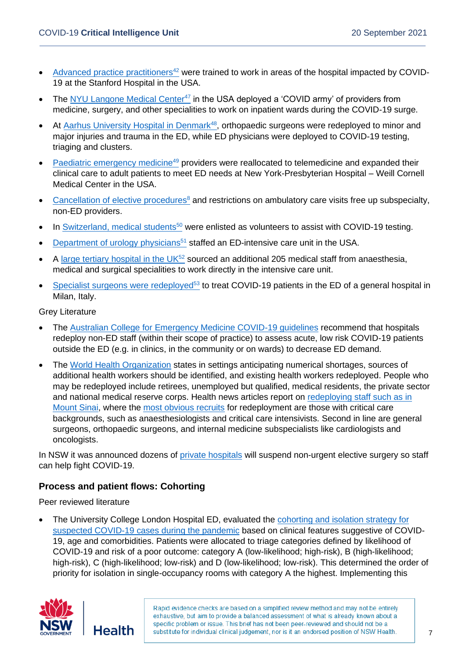- [Advanced practice practitioners](https://pubmed.ncbi.nlm.nih.gov/33615307/)<sup>42</sup> were trained to work in areas of the hospital impacted by COVID-19 at the Stanford Hospital in the USA.
- The [NYU Langone Medical Center](https://pubmed.ncbi.nlm.nih.gov/33820584/)<sup>47</sup> in the USA deployed a 'COVID army' of providers from medicine, surgery, and other specialities to work on inpatient wards during the COVID-19 surge.
- At [Aarhus University Hospital in Denmark](https://www.ncbi.nlm.nih.gov/pmc/articles/PMC8023962/)<sup>48</sup>, orthopaedic surgeons were redeployed to minor and major injuries and trauma in the ED, while ED physicians were deployed to COVID-19 testing, triaging and clusters.
- [Paediatric emergency medicine](https://pubmed.ncbi.nlm.nih.gov/32732779/)<sup>49</sup> providers were reallocated to telemedicine and expanded their clinical care to adult patients to meet ED needs at New York-Presbyterian Hospital – Weill Cornell Medical Center in the USA.
- [Cancellation of elective procedures](https://www.ncbi.nlm.nih.gov/pmc/articles/PMC7346777/)<sup>8</sup> and restrictions on ambulatory care visits free up subspecialty, non-ED providers.
- In [Switzerland, medical students](https://pubmed.ncbi.nlm.nih.gov/32403176/)<sup>50</sup> were enlisted as volunteers to assist with COVID-19 testing.
- [Department of urology physicians](https://www.auajournals.org/doi/10.1097/JU.0000000000001188)<sup>51</sup> staffed an ED-intensive care unit in the USA.
- A [large tertiary hospital in the UK](https://bmjopenquality.bmj.com/content/9/4/e001117.long) $52$  sourced an additional 205 medical staff from anaesthesia, medical and surgical specialities to work directly in the intensive care unit.
- [Specialist surgeons were redeployed](https://www.ncbi.nlm.nih.gov/pmc/articles/PMC8182580/)<sup>53</sup> to treat COVID-19 patients in the ED of a general hospital in Milan, Italy.

Grey Literature

- The [Australian College for Emergency Medicine COVID-19 guidelines](https://acem.org.au/getmedia/78105c4b-5195-43f6-9c91-25dda5604eaf/Clinical-Guidelines-for-the-management-of-COVID-19-in-Australasian-emergency-departments) recommend that hospitals redeploy non-ED staff (within their scope of practice) to assess acute, low risk COVID-19 patients outside the ED (e.g. in clinics, in the community or on wards) to decrease ED demand.
- The [World Health Organization](https://apps.who.int/iris/rest/bitstreams/1320071/retrieve) states in settings anticipating numerical shortages, sources of additional health workers should be identified, and existing health workers redeployed. People who may be redeployed include retirees, unemployed but qualified, medical residents, the private sector and national medical reserve corps. Health news articles report on [redeploying staff such as in](https://www.mountsinai.org/about/newsroom/2020/hospitals-redeploy-specialists-to-covid-19-front-lines-itn)  [Mount Sinai,](https://www.mountsinai.org/about/newsroom/2020/hospitals-redeploy-specialists-to-covid-19-front-lines-itn) where the [most obvious recruits](https://www.ormanager.com/briefs/hospitals-redeploy-surgical-specialists-to-front-lines-to-fight-covid-19/) for redeployment are those with critical care backgrounds, such as anaesthesiologists and critical care intensivists. Second in line are general surgeons, orthopaedic surgeons, and internal medicine subspecialists like cardiologists and oncologists.

In NSW it was announced dozens of [private hospitals](https://www.sbs.com.au/news/private-hospital-staff-in-nsw-redeployed-to-help-respond-to-covid-19-caseload) will suspend non-urgent elective surgery so staff can help fight COVID-19.

#### **Process and patient flows: Cohorting**

Peer reviewed literature

• The University College London Hospital ED, evaluated the [cohorting and isolation strategy for](https://www.ncbi.nlm.nih.gov/pmc/articles/PMC7261079/)  [suspected COVID-19 cases during the pandemic](https://www.ncbi.nlm.nih.gov/pmc/articles/PMC7261079/) based on clinical features suggestive of COVID-19, age and comorbidities. Patients were allocated to triage categories defined by likelihood of COVID-19 and risk of a poor outcome: category A (low-likelihood; high-risk), B (high-likelihood; high-risk), C (high-likelihood; low-risk) and D (low-likelihood; low-risk). This determined the order of priority for isolation in single-occupancy rooms with category A the highest. Implementing this

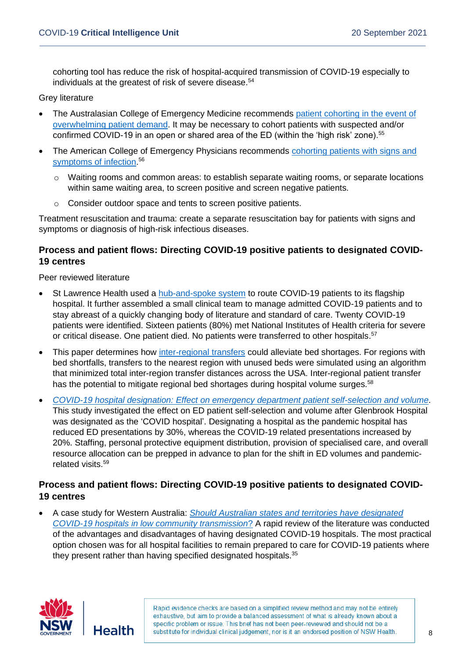cohorting tool has reduce the risk of hospital-acquired transmission of COVID-19 especially to individuals at the greatest of risk of severe disease.<sup>54</sup>

#### Grey literature

- The Australasian College of Emergency Medicine recommends [patient cohorting in the event of](https://acem.org.au/Content-Sources/Advancing-Emergency-Medicine/COVID-19/Resources/Clinical-Guidelines/Emergency-Department-Design-Layout)  [overwhelming patient demand.](https://acem.org.au/Content-Sources/Advancing-Emergency-Medicine/COVID-19/Resources/Clinical-Guidelines/Emergency-Department-Design-Layout) It may be necessary to cohort patients with suspected and/or confirmed COVID-19 in an open or shared area of the ED (within the 'high risk' zone). 55
- The American College of Emergency Physicians recommends cohorting patients with signs and [symptoms of infection.](https://www.acep.org/corona/covid-19-field-guide/triage/infection-prevention-and-control-recommendations-for-patient-arrival-and-triage/) 56
	- $\circ$  Waiting rooms and common areas: to establish separate waiting rooms, or separate locations within same waiting area, to screen positive and screen negative patients.
	- o Consider outdoor space and tents to screen positive patients.

Treatment resuscitation and trauma: create a separate resuscitation bay for patients with signs and symptoms or diagnosis of high-risk infectious diseases.

#### **Process and patient flows: Directing COVID-19 positive patients to designated COVID-19 centres**

Peer reviewed literature

- St Lawrence Health used a [hub-and-spoke system](https://www.rrh.org.au/journal/article/6464) to route COVID-19 patients to its flagship hospital. It further assembled a small clinical team to manage admitted COVID-19 patients and to stay abreast of a quickly changing body of literature and standard of care. Twenty COVID-19 patients were identified. Sixteen patients (80%) met National Institutes of Health criteria for severe or critical disease. One patient died. No patients were transferred to other hospitals.<sup>57</sup>
- This paper determines how [inter-regional transfers](https://pubmed.ncbi.nlm.nih.gov/33038215/) could alleviate bed shortages. For regions with bed shortfalls, transfers to the nearest region with unused beds were simulated using an algorithm that minimized total inter-region transfer distances across the USA. Inter-regional patient transfer has the potential to mitigate regional bed shortages during hospital volume surges.<sup>58</sup>
- *[COVID-19 hospital designation: Effect on emergency department patient self-selection and volume](https://www.sciedu.ca/journal/index.php/jha/article/view/18725/11764)*. This study investigated the effect on ED patient self-selection and volume after Glenbrook Hospital was designated as the 'COVID hospital'. Designating a hospital as the pandemic hospital has reduced ED presentations by 30%, whereas the COVID-19 related presentations increased by 20%. Staffing, personal protective equipment distribution, provision of specialised care, and overall resource allocation can be prepped in advance to plan for the shift in ED volumes and pandemicrelated visits. 59

#### **Process and patient flows: Directing COVID-19 positive patients to designated COVID-19 centres**

• A case study for Western Australia: *[Should Australian states and territories have designated](https://www.publish.csiro.au/AH/pdf/AH20199)  COVID-19 hospitals [in low community transmission](https://www.publish.csiro.au/AH/pdf/AH20199)*? A rapid review of the literature was conducted of the advantages and disadvantages of having designated COVID-19 hospitals. The most practical option chosen was for all hospital facilities to remain prepared to care for COVID-19 patients where they present rather than having specified designated hospitals.<sup>35</sup>

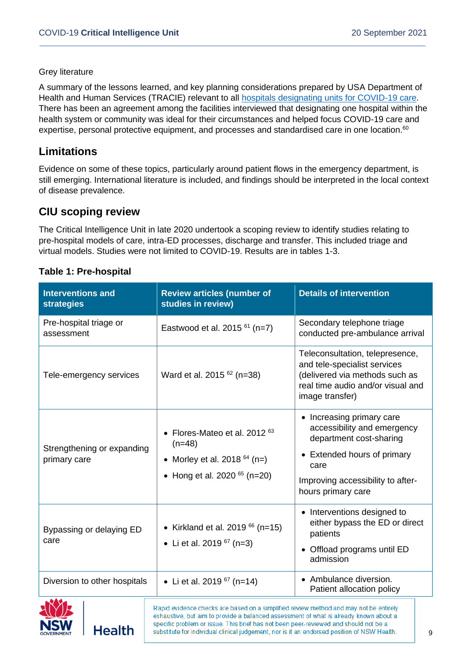#### Grey literature

A summary of the lessons learned, and key planning considerations prepared by USA Department of Health and Human Services (TRACIE) relevant to all **hospitals designating units for COVID-19 care**. There has been an agreement among the facilities interviewed that designating one hospital within the health system or community was ideal for their circumstances and helped focus COVID-19 care and expertise, personal protective equipment, and processes and standardised care in one location.<sup>60</sup>

## **Limitations**

Evidence on some of these topics, particularly around patient flows in the emergency department, is still emerging. International literature is included, and findings should be interpreted in the local context of disease prevalence.

## **CIU scoping review**

The Critical Intelligence Unit in late 2020 undertook a scoping review to identify studies relating to pre-hospital models of care, intra-ED processes, discharge and transfer. This included triage and virtual models. Studies were not limited to COVID-19. Results are in tables 1-3.

| <b>Interventions and</b><br><b>strategies</b> | <b>Review articles (number of</b><br>studies in review)                                                                                                                        | <b>Details of intervention</b>                                                                                                                                                        |
|-----------------------------------------------|--------------------------------------------------------------------------------------------------------------------------------------------------------------------------------|---------------------------------------------------------------------------------------------------------------------------------------------------------------------------------------|
| Pre-hospital triage or<br>assessment          | Eastwood et al. 2015 $61$ (n=7)                                                                                                                                                | Secondary telephone triage<br>conducted pre-ambulance arrival                                                                                                                         |
| Tele-emergency services                       | Ward et al. 2015 <sup>62</sup> (n=38)                                                                                                                                          | Teleconsultation, telepresence,<br>and tele-specialist services<br>(delivered via methods such as<br>real time audio and/or visual and<br>image transfer)                             |
| Strengthening or expanding<br>primary care    | Flores-Mateo et al. 2012 <sup>63</sup><br>$(n=48)$<br>• Morley et al. 2018 $64$ (n=)<br>• Hong et al. 2020 $65$ (n=20)                                                         | • Increasing primary care<br>accessibility and emergency<br>department cost-sharing<br>• Extended hours of primary<br>care<br>Improving accessibility to after-<br>hours primary care |
| Bypassing or delaying ED<br>care              | • Kirkland et al. 2019 $66$ (n=15)<br>• Li et al. 2019 $67$ (n=3)                                                                                                              | • Interventions designed to<br>either bypass the ED or direct<br>patients<br>Offload programs until ED<br>admission                                                                   |
| Diversion to other hospitals                  | • Li et al. 2019 $67$ (n=14)                                                                                                                                                   | • Ambulance diversion.<br>Patient allocation policy                                                                                                                                   |
|                                               | Rapid evidence checks are based on a simplified review method and may not be entirely<br>exhaustive, but aim to provide a balanced assessment of what is already known about a |                                                                                                                                                                                       |

specific problem or issue. This brief has not been peer-reviewed and should not be a

substitute for individual clinical judgement, nor is it an endorsed position of NSW Health.

#### **Table 1: Pre-hospital**

**Health**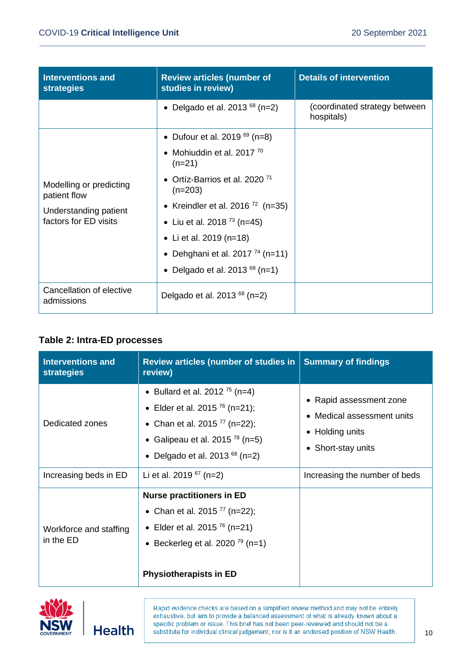| <b>Interventions and</b><br><b>strategies</b>                                             | <b>Review articles (number of</b><br>studies in review) | <b>Details of intervention</b>              |
|-------------------------------------------------------------------------------------------|---------------------------------------------------------|---------------------------------------------|
|                                                                                           | • Delgado et al. 2013 <sup>68</sup> (n=2)               | (coordinated strategy between<br>hospitals) |
| Modelling or predicting<br>patient flow<br>Understanding patient<br>factors for ED visits | • Dufour et al. 2019 $^{69}$ (n=8)                      |                                             |
|                                                                                           | • Mohiuddin et al. 2017 $70$<br>$(n=21)$                |                                             |
|                                                                                           | • Ortíz-Barrios et al. 2020 <sup>71</sup><br>$(n=203)$  |                                             |
|                                                                                           | • Kreindler et al. 2016 <sup>72</sup> (n=35)            |                                             |
|                                                                                           | • Liu et al. 2018 <sup>73</sup> (n=45)                  |                                             |
|                                                                                           | • Li et al. 2019 ( $n=18$ )                             |                                             |
|                                                                                           | • Dehghani et al. 2017 <sup>74</sup> (n=11)             |                                             |
|                                                                                           | • Delgado et al. 2013 $^{68}$ (n=1)                     |                                             |
| Cancellation of elective<br>admissions                                                    | Delgado et al. 2013 $^{68}$ (n=2)                       |                                             |

#### **Table 2: Intra-ED processes**

| <b>Interventions and</b><br><b>strategies</b> | <b>Review articles (number of studies in</b><br>review)                                                                                                                                                             | <b>Summary of findings</b>                                                                     |
|-----------------------------------------------|---------------------------------------------------------------------------------------------------------------------------------------------------------------------------------------------------------------------|------------------------------------------------------------------------------------------------|
| Dedicated zones                               | • Bullard et al. 2012 <sup>75</sup> (n=4)<br>• Elder et al. 2015 <sup>76</sup> (n=21);<br>• Chan et al. 2015 <sup>77</sup> (n=22);<br>• Galipeau et al. 2015 $^{78}$ (n=5)<br>Delgado et al. 2013 $^{68}$ (n=2)     | • Rapid assessment zone<br>• Medical assessment units<br>• Holding units<br>• Short-stay units |
| Increasing beds in ED                         | Li et al. 2019 $67$ (n=2)                                                                                                                                                                                           | Increasing the number of beds                                                                  |
| Workforce and staffing<br>in the ED           | <b>Nurse practitioners in ED</b><br>• Chan et al. 2015 <sup>77</sup> (n=22);<br>• Elder et al. 2015 <sup>76</sup> (n=21)<br>Beckerleg et al. 2020 <sup><math>79</math></sup> (n=1)<br><b>Physiotherapists in ED</b> |                                                                                                |



**Health**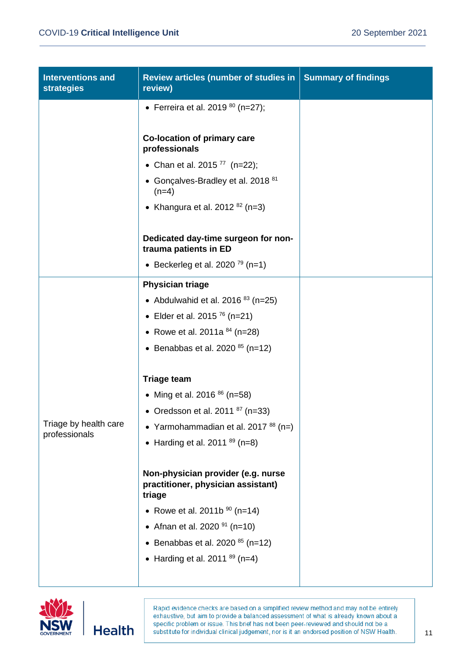| <b>Interventions and</b><br><b>strategies</b> | Review articles (number of studies in<br>review)                                                                                                                                                                                   | <b>Summary of findings</b> |
|-----------------------------------------------|------------------------------------------------------------------------------------------------------------------------------------------------------------------------------------------------------------------------------------|----------------------------|
|                                               | • Ferreira et al. 2019 $80$ (n=27);                                                                                                                                                                                                |                            |
|                                               | Co-location of primary care<br>professionals                                                                                                                                                                                       |                            |
|                                               | • Chan et al. 2015 $^{77}$ (n=22);                                                                                                                                                                                                 |                            |
|                                               | • Gonçalves-Bradley et al. 2018 <sup>81</sup><br>$(n=4)$                                                                                                                                                                           |                            |
|                                               | • Khangura et al. 2012 $^{82}$ (n=3)                                                                                                                                                                                               |                            |
|                                               | Dedicated day-time surgeon for non-<br>trauma patients in ED                                                                                                                                                                       |                            |
|                                               | • Beckerleg et al. 2020 <sup>79</sup> (n=1)                                                                                                                                                                                        |                            |
|                                               | <b>Physician triage</b>                                                                                                                                                                                                            |                            |
|                                               | • Abdulwahid et al. 2016 $83$ (n=25)                                                                                                                                                                                               |                            |
|                                               | • Elder et al. 2015 $^{76}$ (n=21)                                                                                                                                                                                                 |                            |
|                                               | • Rowe et al. 2011a $84$ (n=28)                                                                                                                                                                                                    |                            |
|                                               | • Benabbas et al. 2020 $85$ (n=12)                                                                                                                                                                                                 |                            |
|                                               | <b>Triage team</b>                                                                                                                                                                                                                 |                            |
|                                               | • Ming et al. 2016 $86$ (n=58)                                                                                                                                                                                                     |                            |
|                                               | • Oredsson et al. 2011 $87$ (n=33)                                                                                                                                                                                                 |                            |
| Triage by health care<br>professionals        | • Yarmohammadian et al. 2017 $88$ (n=)                                                                                                                                                                                             |                            |
|                                               | • Harding et al. 2011 $^{89}$ (n=8)                                                                                                                                                                                                |                            |
|                                               | Non-physician provider (e.g. nurse<br>practitioner, physician assistant)<br>triage<br>• Rowe et al. 2011b $90$ (n=14)<br>• Afnan et al. 2020 $91$ (n=10)<br>• Benabbas et al. 2020 $85$ (n=12)<br>• Harding et al. 2011 $89$ (n=4) |                            |
|                                               |                                                                                                                                                                                                                                    |                            |



**Health**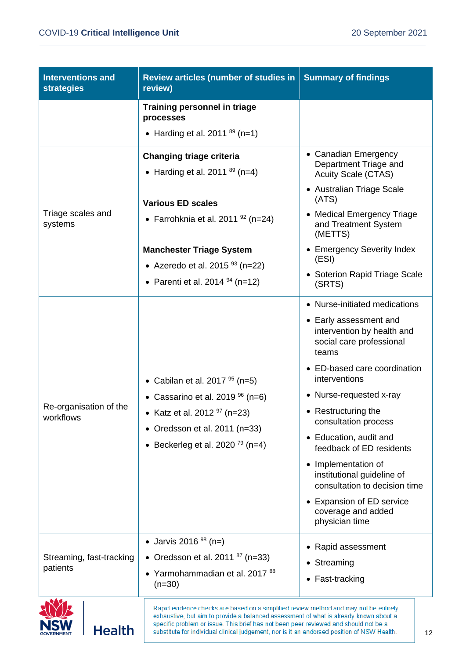**NSW** 

**Health** 

| <b>Interventions and</b><br><b>strategies</b> | Review articles (number of studies in<br>review)                                      | <b>Summary of findings</b>                                                                |
|-----------------------------------------------|---------------------------------------------------------------------------------------|-------------------------------------------------------------------------------------------|
|                                               | <b>Training personnel in triage</b><br>processes                                      |                                                                                           |
|                                               | • Harding et al. 2011 $89$ (n=1)                                                      |                                                                                           |
|                                               | <b>Changing triage criteria</b><br>• Harding et al. 2011 $89$ (n=4)                   | • Canadian Emergency<br>Department Triage and<br><b>Acuity Scale (CTAS)</b>               |
|                                               | <b>Various ED scales</b>                                                              | • Australian Triage Scale<br>(ATS)                                                        |
| Triage scales and<br>systems                  | • Farrohknia et al. 2011 $92$ (n=24)                                                  | • Medical Emergency Triage<br>and Treatment System<br>(METTS)                             |
|                                               | <b>Manchester Triage System</b>                                                       | • Emergency Severity Index<br>(ESI)                                                       |
|                                               | • Azeredo et al. 2015 $93$ (n=22)<br>• Parenti et al. 2014 $94$ (n=12)                | • Soterion Rapid Triage Scale<br>(SRTS)                                                   |
|                                               |                                                                                       | • Nurse-initiated medications                                                             |
|                                               |                                                                                       | • Early assessment and<br>intervention by health and<br>social care professional<br>teams |
|                                               | • Cabilan et al. 2017 $95$ (n=5)                                                      | • ED-based care coordination<br>interventions                                             |
|                                               | • Cassarino et al. 2019 $\frac{96}{6}$ (n=6)                                          | • Nurse-requested x-ray                                                                   |
| Re-organisation of the<br>workflows           | • Katz et al. 2012 $97$ (n=23)<br>• Oredsson et al. 2011 ( $n=33$ )                   | • Restructuring the<br>consultation process                                               |
|                                               | • Beckerleg et al. 2020 <sup>79</sup> (n=4)                                           | • Education, audit and<br>feedback of ED residents                                        |
|                                               |                                                                                       | • Implementation of<br>institutional guideline of<br>consultation to decision time        |
|                                               |                                                                                       | • Expansion of ED service<br>coverage and added<br>physician time                         |
| Streaming, fast-tracking<br>patients          | • Jarvis 2016 $98$ (n=)                                                               | • Rapid assessment                                                                        |
|                                               | • Oredsson et al. 2011 $87$ (n=33)                                                    | • Streaming                                                                               |
|                                               | • Yarmohammadian et al. 2017 <sup>88</sup><br>$(n=30)$                                | • Fast-tracking                                                                           |
|                                               | Rapid evidence checks are based on a simplified review method and may not be entirely |                                                                                           |



12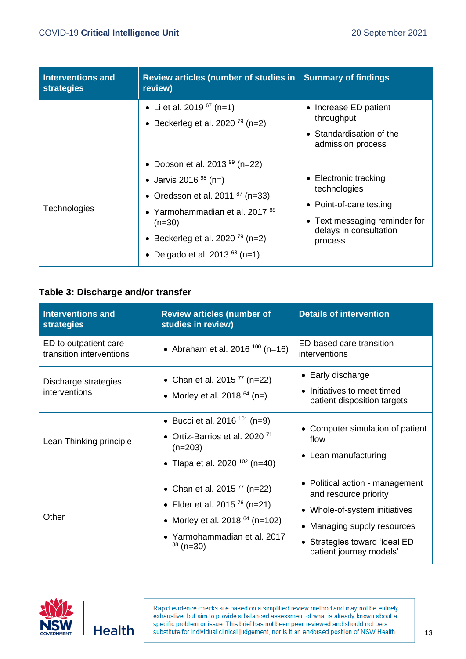| Interventions and<br><b>strategies</b> | <b>Review articles (number of studies in</b><br>review)                                                                                                                                                                                      | <b>Summary of findings</b>                                                                                                             |
|----------------------------------------|----------------------------------------------------------------------------------------------------------------------------------------------------------------------------------------------------------------------------------------------|----------------------------------------------------------------------------------------------------------------------------------------|
|                                        | • Li et al. 2019 $67$ (n=1)<br>• Beckerleg et al. 2020 <sup>79</sup> (n=2)                                                                                                                                                                   | • Increase ED patient<br>throughput<br>• Standardisation of the<br>admission process                                                   |
| <b>Technologies</b>                    | • Dobson et al. 2013 $99$ (n=22)<br>• Jarvis 2016 $98$ (n=)<br>• Oredsson et al. 2011 $87$ (n=33)<br>• Yarmohammadian et al. 2017 <sup>88</sup><br>$(n=30)$<br>• Beckerleg et al. 2020 <sup>79</sup> (n=2)<br>Delgado et al. 2013 $68$ (n=1) | • Electronic tracking<br>technologies<br>• Point-of-care testing<br>• Text messaging reminder for<br>delays in consultation<br>process |

#### **Table 3: Discharge and/or transfer**

| <b>Interventions and</b><br><b>strategies</b>     | <b>Review articles (number of</b><br>studies in review)                                                                                                                 | <b>Details of intervention</b>                                                                                                                                                       |
|---------------------------------------------------|-------------------------------------------------------------------------------------------------------------------------------------------------------------------------|--------------------------------------------------------------------------------------------------------------------------------------------------------------------------------------|
| ED to outpatient care<br>transition interventions | • Abraham et al. 2016 <sup>100</sup> (n=16)                                                                                                                             | ED-based care transition<br>interventions                                                                                                                                            |
| Discharge strategies<br>interventions             | • Chan et al. 2015 <sup>77</sup> (n=22)<br>• Morley et al. 2018 $^{64}$ (n=)                                                                                            | • Early discharge<br>Initiatives to meet timed<br>patient disposition targets                                                                                                        |
| Lean Thinking principle                           | • Bucci et al. 2016 <sup>101</sup> (n=9)<br>• Ortíz-Barrios et al. 2020 <sup>71</sup><br>$(n=203)$<br>• Tlapa et al. 2020 <sup>102</sup> (n=40)                         | • Computer simulation of patient<br>flow<br>• Lean manufacturing                                                                                                                     |
| Other                                             | • Chan et al. 2015 <sup>77</sup> (n=22)<br>• Elder et al. 2015 <sup>76</sup> (n=21)<br>• Morley et al. 2018 $64$ (n=102)<br>• Yarmohammadian et al. 2017<br>$88$ (n=30) | • Political action - management<br>and resource priority<br>• Whole-of-system initiatives<br>• Managing supply resources<br>• Strategies toward 'ideal ED<br>patient journey models' |

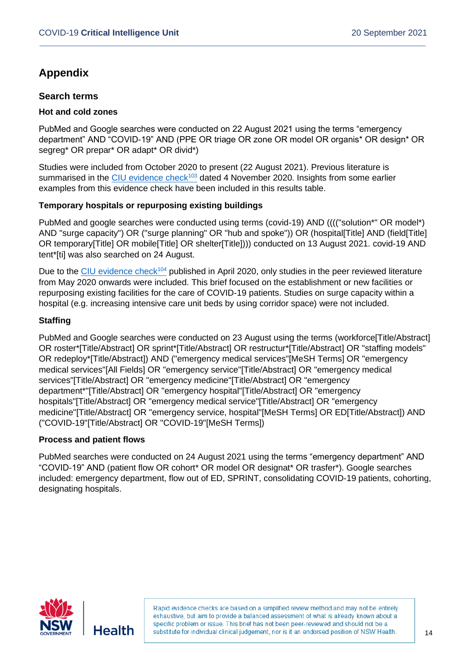## **Appendix**

#### **Search terms**

#### **Hot and cold zones**

PubMed and Google searches were conducted on 22 August 2021 using the terms "emergency department" AND "COVID-19" AND (PPE OR triage OR zone OR model OR organis\* OR design\* OR segreg\* OR prepar\* OR adapt\* OR divid\*)

Studies were included from October 2020 to present (22 August 2021). Previous literature is summarised in the [CIU evidence check](https://aci.health.nsw.gov.au/__data/assets/pdf_file/0018/616041/Evidence-Check-Infection-control-recommendations-in-the-emergency-department-according-to-local-transmission-risk.pdf)<sup>103</sup> dated 4 November 2020. Insights from some earlier examples from this evidence check have been included in this results table.

#### **Temporary hospitals or repurposing existing buildings**

PubMed and google searches were conducted using terms (covid-19) AND (((("solution\*" OR model\*) AND "surge capacity") OR ("surge planning" OR "hub and spoke")) OR (hospital[Title] AND (field[Title] OR temporary[Title] OR mobile[Title] OR shelter[Title]))) conducted on 13 August 2021. covid-19 AND tent\*[ti] was also searched on 24 August.

Due to the [CIU evidence check](https://aci.health.nsw.gov.au/__data/assets/pdf_file/0004/577723/Evidence-Check-Dedicated-or-temporary-COVID-19-healthcare-facilities.pdf)<sup>104</sup> published in April 2020, only studies in the peer reviewed literature from May 2020 onwards were included. This brief focused on the establishment or new facilities or repurposing existing facilities for the care of COVID-19 patients. Studies on surge capacity within a hospital (e.g. increasing intensive care unit beds by using corridor space) were not included.

#### **Staffing**

PubMed and Google searches were conducted on 23 August using the terms (workforce[Title/Abstract] OR roster\*[Title/Abstract] OR sprint\*[Title/Abstract] OR restructur\*[Title/Abstract] OR "staffing models" OR redeploy\*[Title/Abstract]) AND ("emergency medical services"[MeSH Terms] OR "emergency medical services"[All Fields] OR "emergency service"[Title/Abstract] OR "emergency medical services"[Title/Abstract] OR "emergency medicine"[Title/Abstract] OR "emergency department\*"[Title/Abstract] OR "emergency hospital"[Title/Abstract] OR "emergency hospitals"[Title/Abstract] OR "emergency medical service"[Title/Abstract] OR "emergency medicine"[Title/Abstract] OR "emergency service, hospital"[MeSH Terms] OR ED[Title/Abstract]) AND ("COVID-19"[Title/Abstract] OR "COVID-19"[MeSH Terms])

#### **Process and patient flows**

PubMed searches were conducted on 24 August 2021 using the terms "emergency department" AND "COVID-19" AND (patient flow OR cohort\* OR model OR designat\* OR trasfer\*). Google searches included: emergency department, flow out of ED, SPRINT, consolidating COVID-19 patients, cohorting, designating hospitals.

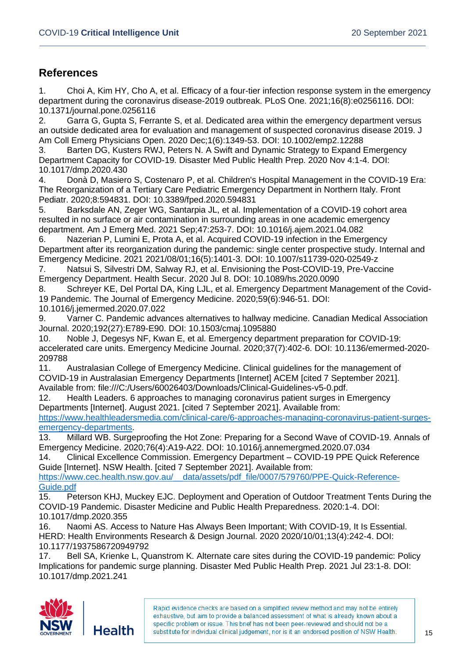## **References**

1. Choi A, Kim HY, Cho A, et al. Efficacy of a four-tier infection response system in the emergency department during the coronavirus disease-2019 outbreak. PLoS One. 2021;16(8):e0256116. DOI: 10.1371/journal.pone.0256116

2. Garra G, Gupta S, Ferrante S, et al. Dedicated area within the emergency department versus an outside dedicated area for evaluation and management of suspected coronavirus disease 2019. J Am Coll Emerg Physicians Open. 2020 Dec;1(6):1349-53. DOI: 10.1002/emp2.12288

3. Barten DG, Kusters RWJ, Peters N. A Swift and Dynamic Strategy to Expand Emergency Department Capacity for COVID-19. Disaster Med Public Health Prep. 2020 Nov 4:1-4. DOI: 10.1017/dmp.2020.430

4. Donà D, Masiero S, Costenaro P, et al. Children's Hospital Management in the COVID-19 Era: The Reorganization of a Tertiary Care Pediatric Emergency Department in Northern Italy. Front Pediatr. 2020;8:594831. DOI: 10.3389/fped.2020.594831

5. Barksdale AN, Zeger WG, Santarpia JL, et al. Implementation of a COVID-19 cohort area resulted in no surface or air contamination in surrounding areas in one academic emergency department. Am J Emerg Med. 2021 Sep;47:253-7. DOI: 10.1016/j.ajem.2021.04.082

6. Nazerian P, Lumini E, Prota A, et al. Acquired COVID-19 infection in the Emergency Department after its reorganization during the pandemic: single center prospective study. Internal and Emergency Medicine. 2021 2021/08/01;16(5):1401-3. DOI: 10.1007/s11739-020-02549-z

7. Natsui S, Silvestri DM, Salway RJ, et al. Envisioning the Post-COVID-19, Pre-Vaccine Emergency Department. Health Secur. 2020 Jul 8. DOI: 10.1089/hs.2020.0090

8. Schreyer KE, Del Portal DA, King LJL, et al. Emergency Department Management of the Covid-19 Pandemic. The Journal of Emergency Medicine. 2020;59(6):946-51. DOI: 10.1016/j.jemermed.2020.07.022

9. Varner C. Pandemic advances alternatives to hallway medicine. Canadian Medical Association Journal. 2020;192(27):E789-E90. DOI: 10.1503/cmaj.1095880

10. Noble J, Degesys NF, Kwan E, et al. Emergency department preparation for COVID-19: accelerated care units. Emergency Medicine Journal. 2020;37(7):402-6. DOI: 10.1136/emermed-2020- 209788

11. Australasian College of Emergency Medicine. Clinical guidelines for the management of COVID-19 in Australasian Emergency Departments [Internet] ACEM [cited 7 September 2021]. Available from: file:///C:/Users/60026403/Downloads/Clinical-Guidelines-v5-0.pdf.

12. Health Leaders. 6 approaches to managing coronavirus patient surges in Emergency Departments [Internet]. August 2021. [cited 7 September 2021]. Available from:

[https://www.healthleadersmedia.com/clinical-care/6-approaches-managing-coronavirus-patient-surges](https://www.healthleadersmedia.com/clinical-care/6-approaches-managing-coronavirus-patient-surges-emergency-departments)[emergency-departments.](https://www.healthleadersmedia.com/clinical-care/6-approaches-managing-coronavirus-patient-surges-emergency-departments)

13. Millard WB. Surgeproofing the Hot Zone: Preparing for a Second Wave of COVID-19. Annals of Emergency Medicine. 2020;76(4):A19-A22. DOI: 10.1016/j.annemergmed.2020.07.034

14. Clinical Excellence Commission. Emergency Department – COVID-19 PPE Quick Reference Guide [Internet]. NSW Health. [cited 7 September 2021]. Available from:

[https://www.cec.health.nsw.gov.au/\\_\\_data/assets/pdf\\_file/0007/579760/PPE-Quick-Reference-](https://www.cec.health.nsw.gov.au/__data/assets/pdf_file/0007/579760/PPE-Quick-Reference-Guide.pdf)[Guide.pdf](https://www.cec.health.nsw.gov.au/__data/assets/pdf_file/0007/579760/PPE-Quick-Reference-Guide.pdf) 

15. Peterson KHJ, Muckey EJC. Deployment and Operation of Outdoor Treatment Tents During the COVID-19 Pandemic. Disaster Medicine and Public Health Preparedness. 2020:1-4. DOI: 10.1017/dmp.2020.355

16. Naomi AS. Access to Nature Has Always Been Important; With COVID-19, It Is Essential. HERD: Health Environments Research & Design Journal. 2020 2020/10/01;13(4):242-4. DOI: 10.1177/1937586720949792

17. Bell SA, Krienke L, Quanstrom K. Alternate care sites during the COVID-19 pandemic: Policy Implications for pandemic surge planning. Disaster Med Public Health Prep. 2021 Jul 23:1-8. DOI: 10.1017/dmp.2021.241

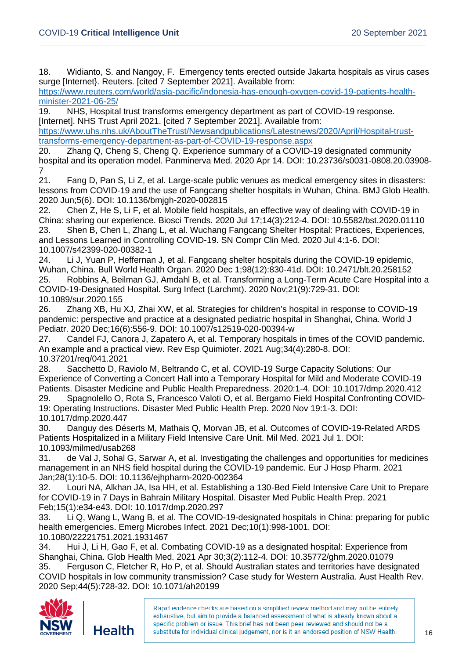18. Widianto, S. and Nangoy, F. Emergency tents erected outside Jakarta hospitals as virus cases surge [Internet}. Reuters. [cited 7 September 2021]. Available from:

[https://www.reuters.com/world/asia-pacific/indonesia-has-enough-oxygen-covid-19-patients-health](https://www.reuters.com/world/asia-pacific/indonesia-has-enough-oxygen-covid-19-patients-health-minister-2021-06-25/)[minister-2021-06-25/](https://www.reuters.com/world/asia-pacific/indonesia-has-enough-oxygen-covid-19-patients-health-minister-2021-06-25/)

19. NHS, Hospital trust transforms emergency department as part of COVID-19 response. [Internet]. NHS Trust April 2021. [cited 7 September 2021]. Available from:

[https://www.uhs.nhs.uk/AboutTheTrust/Newsandpublications/Latestnews/2020/April/Hospital-trust](https://www.uhs.nhs.uk/AboutTheTrust/Newsandpublications/Latestnews/2020/April/Hospital-trust-transforms-emergency-department-as-part-of-COVID-19-response.aspx)[transforms-emergency-department-as-part-of-COVID-19-response.aspx](https://www.uhs.nhs.uk/AboutTheTrust/Newsandpublications/Latestnews/2020/April/Hospital-trust-transforms-emergency-department-as-part-of-COVID-19-response.aspx) 

20. Zhang Q, Cheng S, Cheng Q. Experience summary of a COVID-19 designated community hospital and its operation model. Panminerva Med. 2020 Apr 14. DOI: 10.23736/s0031-0808.20.03908- 7

21. Fang D, Pan S, Li Z, et al. Large-scale public venues as medical emergency sites in disasters: lessons from COVID-19 and the use of Fangcang shelter hospitals in Wuhan, China. BMJ Glob Health. 2020 Jun;5(6). DOI: 10.1136/bmjgh-2020-002815

22. Chen Z, He S, Li F, et al. Mobile field hospitals, an effective way of dealing with COVID-19 in China: sharing our experience. Biosci Trends. 2020 Jul 17;14(3):212-4. DOI: 10.5582/bst.2020.01110 23. Shen B, Chen L, Zhang L, et al. Wuchang Fangcang Shelter Hospital: Practices, Experiences, and Lessons Learned in Controlling COVID-19. SN Compr Clin Med. 2020 Jul 4:1-6. DOI: 10.1007/s42399-020-00382-1

24. Li J, Yuan P, Heffernan J, et al. Fangcang shelter hospitals during the COVID-19 epidemic, Wuhan, China. Bull World Health Organ. 2020 Dec 1;98(12):830-41d. DOI: 10.2471/blt.20.258152 25. Robbins A, Beilman GJ, Amdahl B, et al. Transforming a Long-Term Acute Care Hospital into a COVID-19-Designated Hospital. Surg Infect (Larchmt). 2020 Nov;21(9):729-31. DOI: 10.1089/sur.2020.155

26. Zhang XB, Hu XJ, Zhai XW, et al. Strategies for children's hospital in response to COVID-19 pandemic: perspective and practice at a designated pediatric hospital in Shanghai, China. World J Pediatr. 2020 Dec;16(6):556-9. DOI: 10.1007/s12519-020-00394-w

27. Candel FJ, Canora J, Zapatero A, et al. Temporary hospitals in times of the COVID pandemic. An example and a practical view. Rev Esp Quimioter. 2021 Aug;34(4):280-8. DOI: 10.37201/req/041.2021

28. Sacchetto D, Raviolo M, Beltrando C, et al. COVID-19 Surge Capacity Solutions: Our Experience of Converting a Concert Hall into a Temporary Hospital for Mild and Moderate COVID-19 Patients. Disaster Medicine and Public Health Preparedness. 2020:1-4. DOI: 10.1017/dmp.2020.412 29. Spagnolello O, Rota S, Francesco Valoti O, et al. Bergamo Field Hospital Confronting COVID-19: Operating Instructions. Disaster Med Public Health Prep. 2020 Nov 19:1-3. DOI: 10.1017/dmp.2020.447

30. Danguy des Déserts M, Mathais Q, Morvan JB, et al. Outcomes of COVID-19-Related ARDS Patients Hospitalized in a Military Field Intensive Care Unit. Mil Med. 2021 Jul 1. DOI: 10.1093/milmed/usab268

31. de Val J, Sohal G, Sarwar A, et al. Investigating the challenges and opportunities for medicines management in an NHS field hospital during the COVID-19 pandemic. Eur J Hosp Pharm. 2021 Jan;28(1):10-5. DOI: 10.1136/ejhpharm-2020-002364

32. Louri NA, Alkhan JA, Isa HH, et al. Establishing a 130-Bed Field Intensive Care Unit to Prepare for COVID-19 in 7 Days in Bahrain Military Hospital. Disaster Med Public Health Prep. 2021 Feb;15(1):e34-e43. DOI: 10.1017/dmp.2020.297

33. Li Q, Wang L, Wang B, et al. The COVID-19-designated hospitals in China: preparing for public health emergencies. Emerg Microbes Infect. 2021 Dec;10(1):998-1001. DOI: 10.1080/22221751.2021.1931467

34. Hui J, Li H, Gao F, et al. Combating COVID-19 as a designated hospital: Experience from Shanghai, China. Glob Health Med. 2021 Apr 30;3(2):112-4. DOI: 10.35772/ghm.2020.01079 35. Ferguson C, Fletcher R, Ho P, et al. Should Australian states and territories have designated COVID hospitals in low community transmission? Case study for Western Australia. Aust Health Rev. 2020 Sep;44(5):728-32. DOI: 10.1071/ah20199

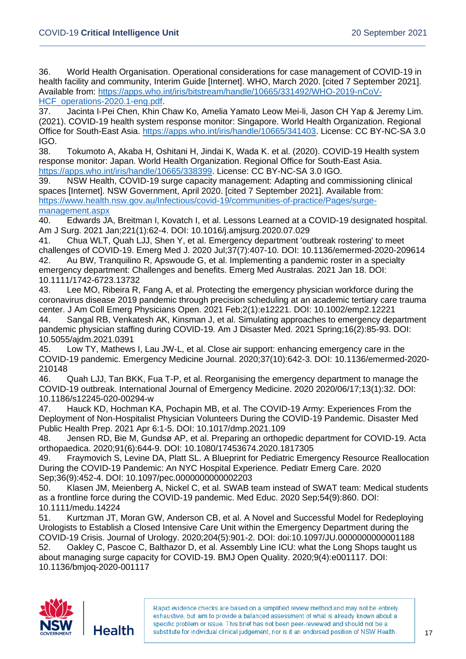36. World Health Organisation. Operational considerations for case management of COVID-19 in health facility and community, Interim Guide [Internet]. WHO, March 2020. [cited 7 September 2021]. Available from: [https://apps.who.int/iris/bitstream/handle/10665/331492/WHO-2019-nCoV-](https://apps.who.int/iris/bitstream/handle/10665/331492/WHO-2019-nCoV-HCF_operations-2020.1-eng.pdf)[HCF\\_operations-2020.1-eng.pdf.](https://apps.who.int/iris/bitstream/handle/10665/331492/WHO-2019-nCoV-HCF_operations-2020.1-eng.pdf)

37. Jacinta I‐Pei Chen, Khin Chaw Ko, Amelia Yamato Leow Mei‐li, Jason CH Yap & Jeremy Lim. (2021). COVID‐19 health system response monitor: Singapore. World Health Organization. Regional Office for South-East Asia. [https://apps.who.int/iris/handle/10665/341403.](https://apps.who.int/iris/handle/10665/341403) License: CC BY-NC-SA 3.0 IGO.

38. Tokumoto A, Akaba H, Oshitani H, Jindai K, Wada K. et al. (2020). COVID-19 Health system response monitor: Japan. World Health Organization. Regional Office for South-East Asia. [https://apps.who.int/iris/handle/10665/338399.](https://apps.who.int/iris/handle/10665/338399) License: CC BY-NC-SA 3.0 IGO.

39. NSW Health, COVID-19 surge capacity management: Adapting and commissioning clinical spaces [Internet]. NSW Government, April 2020. [cited 7 September 2021]. Available from: [https://www.health.nsw.gov.au/Infectious/covid-19/communities-of-practice/Pages/surge](https://www.health.nsw.gov.au/Infectious/covid-19/communities-of-practice/Pages/surge-management.aspx)[management.aspx](https://www.health.nsw.gov.au/Infectious/covid-19/communities-of-practice/Pages/surge-management.aspx)

40. Edwards JA, Breitman I, Kovatch I, et al. Lessons Learned at a COVID-19 designated hospital. Am J Surg. 2021 Jan;221(1):62-4. DOI: 10.1016/j.amjsurg.2020.07.029

41. Chua WLT, Quah LJJ, Shen Y, et al. Emergency department 'outbreak rostering' to meet challenges of COVID-19. Emerg Med J. 2020 Jul;37(7):407-10. DOI: 10.1136/emermed-2020-209614 42. Au BW, Tranquilino R, Apswoude G, et al. Implementing a pandemic roster in a specialty emergency department: Challenges and benefits. Emerg Med Australas. 2021 Jan 18. DOI: 10.1111/1742-6723.13732

43. Lee MO, Ribeira R, Fang A, et al. Protecting the emergency physician workforce during the coronavirus disease 2019 pandemic through precision scheduling at an academic tertiary care trauma center. J Am Coll Emerg Physicians Open. 2021 Feb;2(1):e12221. DOI: 10.1002/emp2.12221

44. Sangal RB, Venkatesh AK, Kinsman J, et al. Simulating approaches to emergency department pandemic physician staffing during COVID-19. Am J Disaster Med. 2021 Spring;16(2):85-93. DOI: 10.5055/ajdm.2021.0391

45. Low TY, Mathews I, Lau JW-L, et al. Close air support: enhancing emergency care in the COVID-19 pandemic. Emergency Medicine Journal. 2020;37(10):642-3. DOI: 10.1136/emermed-2020- 210148

46. Quah LJJ, Tan BKK, Fua T-P, et al. Reorganising the emergency department to manage the COVID-19 outbreak. International Journal of Emergency Medicine. 2020 2020/06/17;13(1):32. DOI: 10.1186/s12245-020-00294-w

47. Hauck KD, Hochman KA, Pochapin MB, et al. The COVID-19 Army: Experiences From the Deployment of Non-Hospitalist Physician Volunteers During the COVID-19 Pandemic. Disaster Med Public Health Prep. 2021 Apr 6:1-5. DOI: 10.1017/dmp.2021.109

48. Jensen RD, Bie M, Gundsø AP, et al. Preparing an orthopedic department for COVID-19. Acta orthopaedica. 2020;91(6):644-9. DOI: 10.1080/17453674.2020.1817305

49. Fraymovich S, Levine DA, Platt SL. A Blueprint for Pediatric Emergency Resource Reallocation During the COVID-19 Pandemic: An NYC Hospital Experience. Pediatr Emerg Care. 2020 Sep;36(9):452-4. DOI: 10.1097/pec.0000000000002203

50. Klasen JM, Meienberg A, Nickel C, et al. SWAB team instead of SWAT team: Medical students as a frontline force during the COVID-19 pandemic. Med Educ. 2020 Sep;54(9):860. DOI: 10.1111/medu.14224

51. Kurtzman JT, Moran GW, Anderson CB, et al. A Novel and Successful Model for Redeploying Urologists to Establish a Closed Intensive Care Unit within the Emergency Department during the COVID-19 Crisis. Journal of Urology. 2020;204(5):901-2. DOI: doi:10.1097/JU.0000000000001188 52. Oakley C, Pascoe C, Balthazor D, et al. Assembly Line ICU: what the Long Shops taught us about managing surge capacity for COVID-19. BMJ Open Quality. 2020;9(4):e001117. DOI: 10.1136/bmjoq-2020-001117

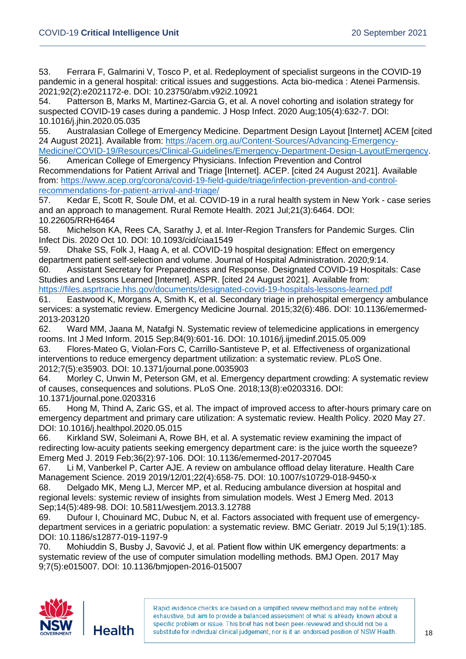53. Ferrara F, Galmarini V, Tosco P, et al. Redeployment of specialist surgeons in the COVID-19 pandemic in a general hospital: critical issues and suggestions. Acta bio-medica : Atenei Parmensis. 2021;92(2):e2021172-e. DOI: 10.23750/abm.v92i2.10921

54. Patterson B, Marks M, Martinez-Garcia G, et al. A novel cohorting and isolation strategy for suspected COVID-19 cases during a pandemic. J Hosp Infect. 2020 Aug;105(4):632-7. DOI: 10.1016/j.jhin.2020.05.035

55. Australasian College of Emergency Medicine. Department Design Layout [Internet] ACEM [cited 24 August 2021]. Available from: [https://acem.org.au/Content-Sources/Advancing-Emergency-](https://acem.org.au/Content-Sources/Advancing-Emergency-Medicine/COVID-19/Resources/Clinical-Guidelines/Emergency-Department-Design-LayoutEmergency)[Medicine/COVID-19/Resources/Clinical-Guidelines/Emergency-Department-Design-LayoutEmergency.](https://acem.org.au/Content-Sources/Advancing-Emergency-Medicine/COVID-19/Resources/Clinical-Guidelines/Emergency-Department-Design-LayoutEmergency)

56. American College of Emergency Physicians. Infection Prevention and Control Recommendations for Patient Arrival and Triage [Internet]. ACEP. [cited 24 August 2021]. Available from: [https://www.acep.org/corona/covid-19-field-guide/triage/infection-prevention-and-control](https://www.acep.org/corona/covid-19-field-guide/triage/infection-prevention-and-control-recommendations-for-patient-arrival-and-triage/)[recommendations-for-patient-arrival-and-triage/](https://www.acep.org/corona/covid-19-field-guide/triage/infection-prevention-and-control-recommendations-for-patient-arrival-and-triage/)

57. Kedar E, Scott R, Soule DM, et al. COVID-19 in a rural health system in New York - case series and an approach to management. Rural Remote Health. 2021 Jul;21(3):6464. DOI: 10.22605/RRH6464

58. Michelson KA, Rees CA, Sarathy J, et al. Inter-Region Transfers for Pandemic Surges. Clin Infect Dis. 2020 Oct 10. DOI: 10.1093/cid/ciaa1549

59. Dhake SS, Folk J, Haag A, et al. COVID-19 hospital designation: Effect on emergency department patient self-selection and volume. Journal of Hospital Administration. 2020;9:14.

60. Assistant Secretary for Preparedness and Response. Designated COVID-19 Hospitals: Case Studies and Lessons Learned [Internet]. ASPR. [cited 24 August 2021]. Available from: <https://files.asprtracie.hhs.gov/documents/designated-covid-19-hospitals-lessons-learned.pdf>

61. Eastwood K, Morgans A, Smith K, et al. Secondary triage in prehospital emergency ambulance services: a systematic review. Emergency Medicine Journal. 2015;32(6):486. DOI: 10.1136/emermed-2013-203120

62. Ward MM, Jaana M, Natafgi N. Systematic review of telemedicine applications in emergency rooms. Int J Med Inform. 2015 Sep;84(9):601-16. DOI: 10.1016/j.ijmedinf.2015.05.009

63. Flores-Mateo G, Violan-Fors C, Carrillo-Santisteve P, et al. Effectiveness of organizational interventions to reduce emergency department utilization: a systematic review. PLoS One. 2012;7(5):e35903. DOI: 10.1371/journal.pone.0035903

64. Morley C, Unwin M, Peterson GM, et al. Emergency department crowding: A systematic review of causes, consequences and solutions. PLoS One. 2018;13(8):e0203316. DOI: 10.1371/journal.pone.0203316

65. Hong M, Thind A, Zaric GS, et al. The impact of improved access to after-hours primary care on emergency department and primary care utilization: A systematic review. Health Policy. 2020 May 27. DOI: 10.1016/j.healthpol.2020.05.015

66. Kirkland SW, Soleimani A, Rowe BH, et al. A systematic review examining the impact of redirecting low-acuity patients seeking emergency department care: is the juice worth the squeeze? Emerg Med J. 2019 Feb;36(2):97-106. DOI: 10.1136/emermed-2017-207045

67. Li M, Vanberkel P, Carter AJE. A review on ambulance offload delay literature. Health Care Management Science. 2019 2019/12/01;22(4):658-75. DOI: 10.1007/s10729-018-9450-x

68. Delgado MK, Meng LJ, Mercer MP, et al. Reducing ambulance diversion at hospital and regional levels: systemic review of insights from simulation models. West J Emerg Med. 2013 Sep;14(5):489-98. DOI: 10.5811/westjem.2013.3.12788

69. Dufour I, Chouinard MC, Dubuc N, et al. Factors associated with frequent use of emergencydepartment services in a geriatric population: a systematic review. BMC Geriatr. 2019 Jul 5;19(1):185. DOI: 10.1186/s12877-019-1197-9

70. Mohiuddin S, Busby J, Savović J, et al. Patient flow within UK emergency departments: a systematic review of the use of computer simulation modelling methods. BMJ Open. 2017 May 9;7(5):e015007. DOI: 10.1136/bmjopen-2016-015007

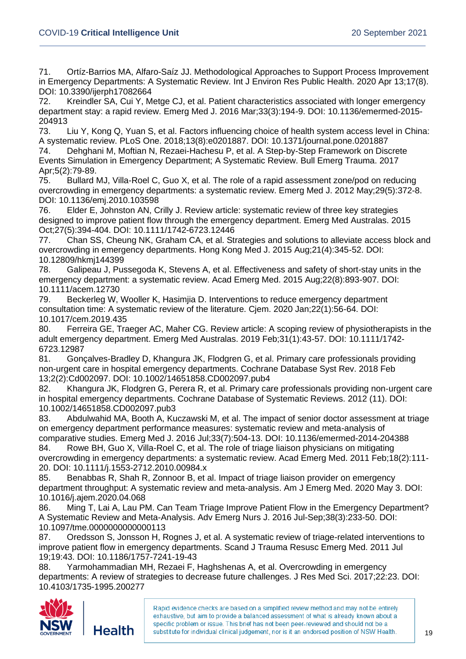71. Ortíz-Barrios MA, Alfaro-Saíz JJ. Methodological Approaches to Support Process Improvement in Emergency Departments: A Systematic Review. Int J Environ Res Public Health. 2020 Apr 13;17(8). DOI: 10.3390/ijerph17082664

72. Kreindler SA, Cui Y, Metge CJ, et al. Patient characteristics associated with longer emergency department stay: a rapid review. Emerg Med J. 2016 Mar;33(3):194-9. DOI: 10.1136/emermed-2015- 204913

73. Liu Y, Kong Q, Yuan S, et al. Factors influencing choice of health system access level in China: A systematic review. PLoS One. 2018;13(8):e0201887. DOI: 10.1371/journal.pone.0201887

74. Dehghani M, Moftian N, Rezaei-Hachesu P, et al. A Step-by-Step Framework on Discrete Events Simulation in Emergency Department; A Systematic Review. Bull Emerg Trauma. 2017 Apr;5(2):79-89.

75. Bullard MJ, Villa-Roel C, Guo X, et al. The role of a rapid assessment zone/pod on reducing overcrowding in emergency departments: a systematic review. Emerg Med J. 2012 May;29(5):372-8. DOI: 10.1136/emj.2010.103598

76. Elder E, Johnston AN, Crilly J. Review article: systematic review of three key strategies designed to improve patient flow through the emergency department. Emerg Med Australas. 2015 Oct;27(5):394-404. DOI: 10.1111/1742-6723.12446

77. Chan SS, Cheung NK, Graham CA, et al. Strategies and solutions to alleviate access block and overcrowding in emergency departments. Hong Kong Med J. 2015 Aug;21(4):345-52. DOI: 10.12809/hkmj144399

78. Galipeau J, Pussegoda K, Stevens A, et al. Effectiveness and safety of short-stay units in the emergency department: a systematic review. Acad Emerg Med. 2015 Aug;22(8):893-907. DOI: 10.1111/acem.12730

79. Beckerleg W, Wooller K, Hasimjia D. Interventions to reduce emergency department consultation time: A systematic review of the literature. Cjem. 2020 Jan;22(1):56-64. DOI: 10.1017/cem.2019.435

80. Ferreira GE, Traeger AC, Maher CG. Review article: A scoping review of physiotherapists in the adult emergency department. Emerg Med Australas. 2019 Feb;31(1):43-57. DOI: 10.1111/1742- 6723.12987

81. Gonçalves-Bradley D, Khangura JK, Flodgren G, et al. Primary care professionals providing non-urgent care in hospital emergency departments. Cochrane Database Syst Rev. 2018 Feb 13;2(2):Cd002097. DOI: 10.1002/14651858.CD002097.pub4

82. Khangura JK, Flodgren G, Perera R, et al. Primary care professionals providing non-urgent care in hospital emergency departments. Cochrane Database of Systematic Reviews. 2012 (11). DOI: 10.1002/14651858.CD002097.pub3

83. Abdulwahid MA, Booth A, Kuczawski M, et al. The impact of senior doctor assessment at triage on emergency department performance measures: systematic review and meta-analysis of comparative studies. Emerg Med J. 2016 Jul;33(7):504-13. DOI: 10.1136/emermed-2014-204388

84. Rowe BH, Guo X, Villa-Roel C, et al. The role of triage liaison physicians on mitigating overcrowding in emergency departments: a systematic review. Acad Emerg Med. 2011 Feb;18(2):111- 20. DOI: 10.1111/j.1553-2712.2010.00984.x

85. Benabbas R, Shah R, Zonnoor B, et al. Impact of triage liaison provider on emergency department throughput: A systematic review and meta-analysis. Am J Emerg Med. 2020 May 3. DOI: 10.1016/j.ajem.2020.04.068

86. Ming T, Lai A, Lau PM. Can Team Triage Improve Patient Flow in the Emergency Department? A Systematic Review and Meta-Analysis. Adv Emerg Nurs J. 2016 Jul-Sep;38(3):233-50. DOI: 10.1097/tme.0000000000000113

87. Oredsson S, Jonsson H, Rognes J, et al. A systematic review of triage-related interventions to improve patient flow in emergency departments. Scand J Trauma Resusc Emerg Med. 2011 Jul 19;19:43. DOI: 10.1186/1757-7241-19-43

88. Yarmohammadian MH, Rezaei F, Haghshenas A, et al. Overcrowding in emergency departments: A review of strategies to decrease future challenges. J Res Med Sci. 2017;22:23. DOI: 10.4103/1735-1995.200277